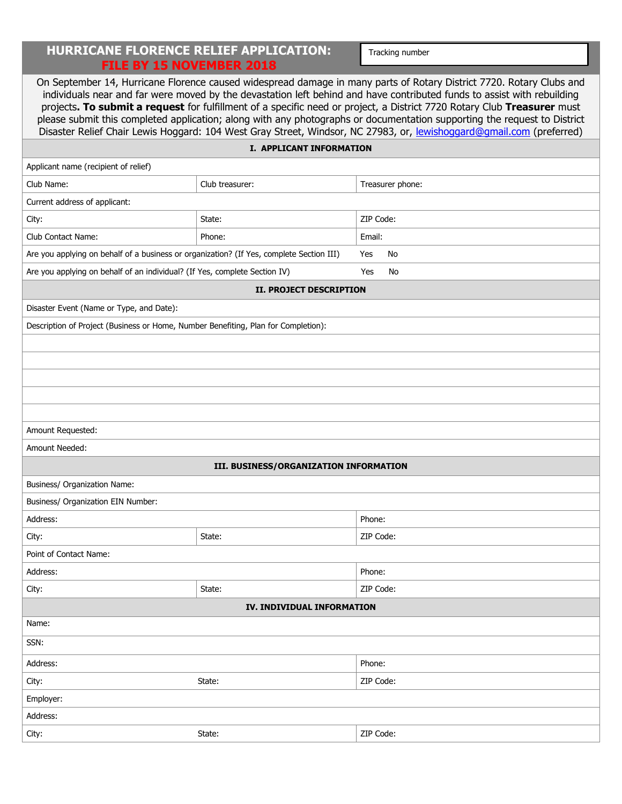## **HURRICANE FLORENCE RELIEF APPLICATION: FILE BY 15 NOVEMBER 2018**

Tracking number

| On September 14, Hurricane Florence caused widespread damage in many parts of Rotary District 7720. Rotary Clubs and<br>individuals near and far were moved by the devastation left behind and have contributed funds to assist with rebuilding<br>projects. To submit a request for fulfillment of a specific need or project, a District 7720 Rotary Club Treasurer must<br>please submit this completed application; along with any photographs or documentation supporting the request to District<br>Disaster Relief Chair Lewis Hoggard: 104 West Gray Street, Windsor, NC 27983, or, lewishoggard@gmail.com (preferred) |                                        |                  |  |  |  |
|--------------------------------------------------------------------------------------------------------------------------------------------------------------------------------------------------------------------------------------------------------------------------------------------------------------------------------------------------------------------------------------------------------------------------------------------------------------------------------------------------------------------------------------------------------------------------------------------------------------------------------|----------------------------------------|------------------|--|--|--|
| <b>I. APPLICANT INFORMATION</b>                                                                                                                                                                                                                                                                                                                                                                                                                                                                                                                                                                                                |                                        |                  |  |  |  |
| Applicant name (recipient of relief)                                                                                                                                                                                                                                                                                                                                                                                                                                                                                                                                                                                           |                                        |                  |  |  |  |
| Club Name:                                                                                                                                                                                                                                                                                                                                                                                                                                                                                                                                                                                                                     | Club treasurer:                        | Treasurer phone: |  |  |  |
| Current address of applicant:                                                                                                                                                                                                                                                                                                                                                                                                                                                                                                                                                                                                  |                                        |                  |  |  |  |
| City:                                                                                                                                                                                                                                                                                                                                                                                                                                                                                                                                                                                                                          | State:                                 | ZIP Code:        |  |  |  |
| <b>Club Contact Name:</b>                                                                                                                                                                                                                                                                                                                                                                                                                                                                                                                                                                                                      | Phone:                                 | Email:           |  |  |  |
| Are you applying on behalf of a business or organization? (If Yes, complete Section III)                                                                                                                                                                                                                                                                                                                                                                                                                                                                                                                                       |                                        | No<br>Yes        |  |  |  |
| Are you applying on behalf of an individual? (If Yes, complete Section IV)                                                                                                                                                                                                                                                                                                                                                                                                                                                                                                                                                     |                                        | Yes<br>No        |  |  |  |
| <b>II. PROJECT DESCRIPTION</b>                                                                                                                                                                                                                                                                                                                                                                                                                                                                                                                                                                                                 |                                        |                  |  |  |  |
| Disaster Event (Name or Type, and Date):                                                                                                                                                                                                                                                                                                                                                                                                                                                                                                                                                                                       |                                        |                  |  |  |  |
| Description of Project (Business or Home, Number Benefiting, Plan for Completion):                                                                                                                                                                                                                                                                                                                                                                                                                                                                                                                                             |                                        |                  |  |  |  |
|                                                                                                                                                                                                                                                                                                                                                                                                                                                                                                                                                                                                                                |                                        |                  |  |  |  |
|                                                                                                                                                                                                                                                                                                                                                                                                                                                                                                                                                                                                                                |                                        |                  |  |  |  |
|                                                                                                                                                                                                                                                                                                                                                                                                                                                                                                                                                                                                                                |                                        |                  |  |  |  |
|                                                                                                                                                                                                                                                                                                                                                                                                                                                                                                                                                                                                                                |                                        |                  |  |  |  |
|                                                                                                                                                                                                                                                                                                                                                                                                                                                                                                                                                                                                                                |                                        |                  |  |  |  |
| Amount Requested:                                                                                                                                                                                                                                                                                                                                                                                                                                                                                                                                                                                                              |                                        |                  |  |  |  |
| Amount Needed:                                                                                                                                                                                                                                                                                                                                                                                                                                                                                                                                                                                                                 |                                        |                  |  |  |  |
|                                                                                                                                                                                                                                                                                                                                                                                                                                                                                                                                                                                                                                | III. BUSINESS/ORGANIZATION INFORMATION |                  |  |  |  |
| Business/ Organization Name:                                                                                                                                                                                                                                                                                                                                                                                                                                                                                                                                                                                                   |                                        |                  |  |  |  |
| Business/ Organization EIN Number:                                                                                                                                                                                                                                                                                                                                                                                                                                                                                                                                                                                             |                                        |                  |  |  |  |
| Address:                                                                                                                                                                                                                                                                                                                                                                                                                                                                                                                                                                                                                       |                                        | Phone:           |  |  |  |
| City:                                                                                                                                                                                                                                                                                                                                                                                                                                                                                                                                                                                                                          | State:                                 | ZIP Code:        |  |  |  |
| Point of Contact Name:                                                                                                                                                                                                                                                                                                                                                                                                                                                                                                                                                                                                         |                                        |                  |  |  |  |
| Address:                                                                                                                                                                                                                                                                                                                                                                                                                                                                                                                                                                                                                       |                                        | Phone:           |  |  |  |
| City:                                                                                                                                                                                                                                                                                                                                                                                                                                                                                                                                                                                                                          | State:                                 | ZIP Code:        |  |  |  |
|                                                                                                                                                                                                                                                                                                                                                                                                                                                                                                                                                                                                                                | IV. INDIVIDUAL INFORMATION             |                  |  |  |  |
| Name:                                                                                                                                                                                                                                                                                                                                                                                                                                                                                                                                                                                                                          |                                        |                  |  |  |  |
| SSN:                                                                                                                                                                                                                                                                                                                                                                                                                                                                                                                                                                                                                           |                                        |                  |  |  |  |
| Address:                                                                                                                                                                                                                                                                                                                                                                                                                                                                                                                                                                                                                       |                                        | Phone:           |  |  |  |
| City:                                                                                                                                                                                                                                                                                                                                                                                                                                                                                                                                                                                                                          | State:                                 | ZIP Code:        |  |  |  |
| Employer:                                                                                                                                                                                                                                                                                                                                                                                                                                                                                                                                                                                                                      |                                        |                  |  |  |  |
| Address:                                                                                                                                                                                                                                                                                                                                                                                                                                                                                                                                                                                                                       |                                        |                  |  |  |  |
| City:                                                                                                                                                                                                                                                                                                                                                                                                                                                                                                                                                                                                                          | State:                                 | ZIP Code:        |  |  |  |